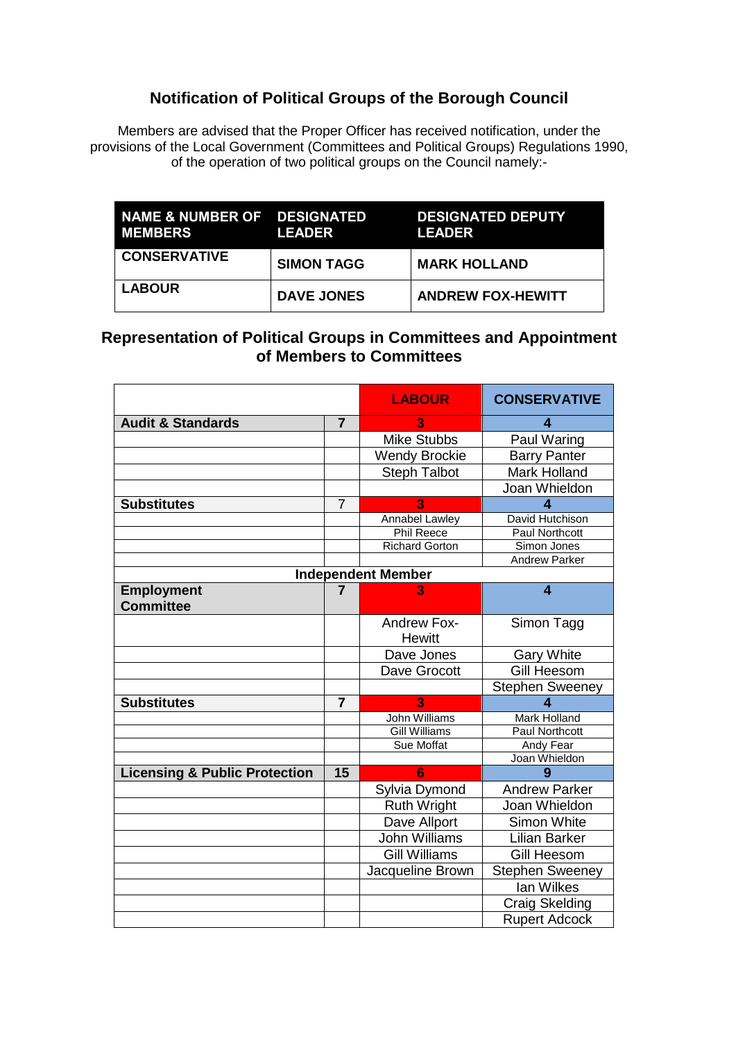## **Notification of Political Groups of the Borough Council**

Members are advised that the Proper Officer has received notification, under the provisions of the Local Government (Committees and Political Groups) Regulations 1990, of the operation of two political groups on the Council namely:-

| NAME & NUMBER OF DESIGNATED<br><b>IMEMBERS</b> | <b>LEADER</b>     | <b>DESIGNATED DEPUTY</b><br><b>LEADER</b> |
|------------------------------------------------|-------------------|-------------------------------------------|
| <b>CONSERVATIVE</b>                            | <b>SIMON TAGG</b> | <b>MARK HOLLAND</b>                       |
| <b>LABOUR</b>                                  | <b>DAVE JONES</b> | <b>ANDREW FOX-HEWITT</b>                  |

## **Representation of Political Groups in Committees and Appointment of Members to Committees**

|                                          |                | <b>LABOUR</b>                       | <b>CONSERVATIVE</b>           |
|------------------------------------------|----------------|-------------------------------------|-------------------------------|
| <b>Audit &amp; Standards</b>             | $\overline{7}$ | 3                                   | 4                             |
|                                          |                | <b>Mike Stubbs</b>                  | Paul Waring                   |
|                                          |                | <b>Wendy Brockie</b>                | <b>Barry Panter</b>           |
|                                          |                | <b>Steph Talbot</b>                 | <b>Mark Holland</b>           |
|                                          |                |                                     | Joan Whieldon                 |
| <b>Substitutes</b>                       | $\overline{7}$ | $\overline{3}$                      | 4                             |
|                                          |                | <b>Annabel Lawley</b>               | David Hutchison               |
|                                          |                | <b>Phil Reece</b>                   | <b>Paul Northcott</b>         |
|                                          |                | <b>Richard Gorton</b>               | Simon Jones                   |
|                                          |                |                                     | <b>Andrew Parker</b>          |
|                                          |                | <b>Independent Member</b>           |                               |
| <b>Employment</b><br><b>Committee</b>    | $\overline{7}$ | 3                                   | $\overline{\mathbf{4}}$       |
|                                          |                | <b>Andrew Fox-</b><br><b>Hewitt</b> | Simon Tagg                    |
|                                          |                | Dave Jones                          | <b>Gary White</b>             |
|                                          |                | Dave Grocott                        | <b>Gill Heesom</b>            |
|                                          |                |                                     | <b>Stephen Sweeney</b>        |
| <b>Substitutes</b>                       | $\overline{7}$ | $\overline{\mathbf{3}}$             |                               |
|                                          |                | John Williams                       | <b>Mark Holland</b>           |
|                                          |                | <b>Gill Williams</b>                | Paul Northcott                |
|                                          |                | Sue Moffat                          | Andy Fear                     |
| <b>Licensing &amp; Public Protection</b> | 15             | 6                                   | Joan Whieldon<br>$\mathbf{Q}$ |
|                                          |                |                                     | <b>Andrew Parker</b>          |
|                                          |                | Sylvia Dymond                       |                               |
|                                          |                | <b>Ruth Wright</b>                  | Joan Whieldon                 |
|                                          |                | Dave Allport                        | Simon White                   |
|                                          |                | John Williams                       | <b>Lilian Barker</b>          |
|                                          |                | <b>Gill Williams</b>                | Gill Heesom                   |
|                                          |                | Jacqueline Brown                    | <b>Stephen Sweeney</b>        |
|                                          |                |                                     | Ian Wilkes                    |
|                                          |                |                                     | <b>Craig Skelding</b>         |
|                                          |                |                                     | <b>Rupert Adcock</b>          |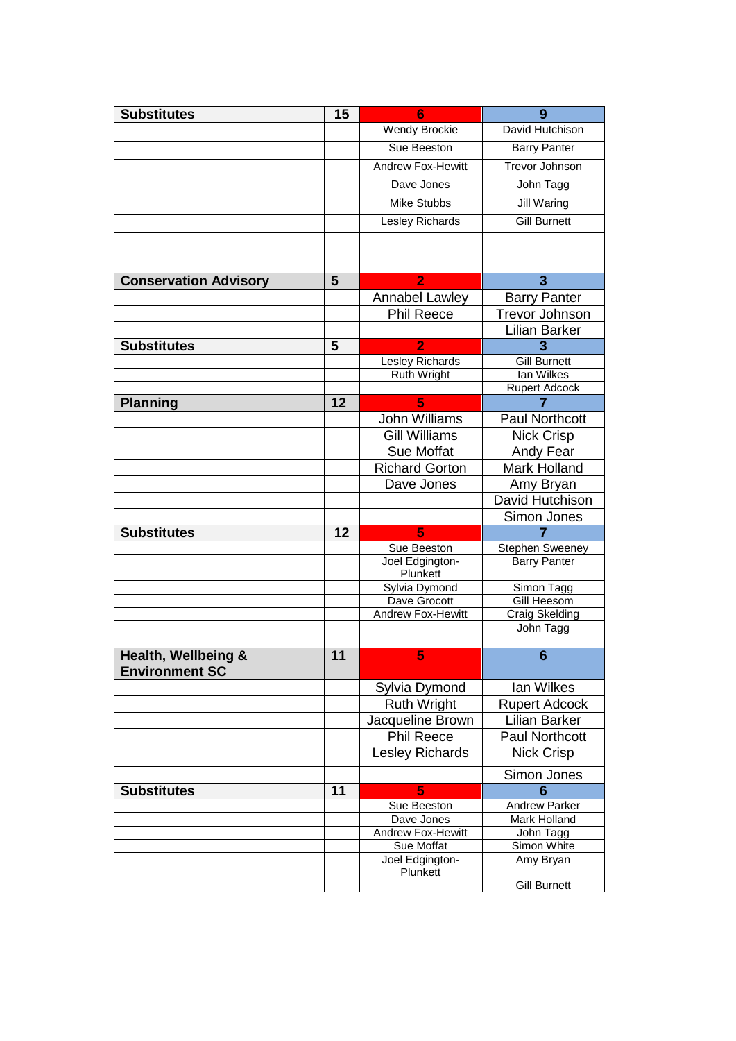| <b>Substitutes</b>                           | 15 | 6                           | 9                                 |
|----------------------------------------------|----|-----------------------------|-----------------------------------|
|                                              |    | <b>Wendy Brockie</b>        | David Hutchison                   |
|                                              |    | Sue Beeston                 | <b>Barry Panter</b>               |
|                                              |    | <b>Andrew Fox-Hewitt</b>    | <b>Trevor Johnson</b>             |
|                                              |    | Dave Jones                  | John Tagg                         |
|                                              |    | <b>Mike Stubbs</b>          | <b>Jill Waring</b>                |
|                                              |    | Lesley Richards             | <b>Gill Burnett</b>               |
|                                              |    |                             |                                   |
|                                              |    |                             |                                   |
|                                              | 5  | $\overline{2}$              | 3                                 |
| <b>Conservation Advisory</b>                 |    |                             |                                   |
|                                              |    | <b>Annabel Lawley</b>       | <b>Barry Panter</b>               |
|                                              |    | <b>Phil Reece</b>           | <b>Trevor Johnson</b>             |
|                                              |    |                             | <b>Lilian Barker</b>              |
| <b>Substitutes</b>                           | 5  | $\overline{2}$              | 3                                 |
|                                              |    | <b>Lesley Richards</b>      | <b>Gill Burnett</b><br>lan Wilkes |
|                                              |    | Ruth Wright                 | <b>Rupert Adcock</b>              |
| <b>Planning</b>                              | 12 | 5                           |                                   |
|                                              |    | <b>John Williams</b>        | <b>Paul Northcott</b>             |
|                                              |    | <b>Gill Williams</b>        |                                   |
|                                              |    |                             | <b>Nick Crisp</b>                 |
|                                              |    | Sue Moffat                  | Andy Fear                         |
|                                              |    | <b>Richard Gorton</b>       | Mark Holland                      |
|                                              |    | Dave Jones                  | Amy Bryan                         |
|                                              |    |                             | David Hutchison                   |
|                                              |    |                             | Simon Jones                       |
| <b>Substitutes</b>                           | 12 | 5                           |                                   |
|                                              |    | Sue Beeston                 | <b>Stephen Sweeney</b>            |
|                                              |    | Joel Edgington-<br>Plunkett | <b>Barry Panter</b>               |
|                                              |    | Sylvia Dymond               | Simon Tagg                        |
|                                              |    | Dave Grocott                | Gill Heesom                       |
|                                              |    | <b>Andrew Fox-Hewitt</b>    | <b>Craig Skelding</b>             |
|                                              |    |                             | John Tagg                         |
| Health, Wellbeing &<br><b>Environment SC</b> | 11 | 5                           | 6                                 |
|                                              |    | Sylvia Dymond               | lan Wilkes                        |
|                                              |    | <b>Ruth Wright</b>          | <b>Rupert Adcock</b>              |
|                                              |    | Jacqueline Brown            | Lilian Barker                     |
|                                              |    | <b>Phil Reece</b>           | <b>Paul Northcott</b>             |
|                                              |    | Lesley Richards             | <b>Nick Crisp</b>                 |
|                                              |    |                             | Simon Jones                       |
| <b>Substitutes</b>                           | 11 | 5                           | 6                                 |
|                                              |    | Sue Beeston                 | <b>Andrew Parker</b>              |
|                                              |    | Dave Jones                  | Mark Holland                      |
|                                              |    | Andrew Fox-Hewitt           | John Tagg                         |
|                                              |    | Sue Moffat                  | Simon White                       |
|                                              |    | Joel Edgington-<br>Plunkett | Amy Bryan                         |
|                                              |    |                             | <b>Gill Burnett</b>               |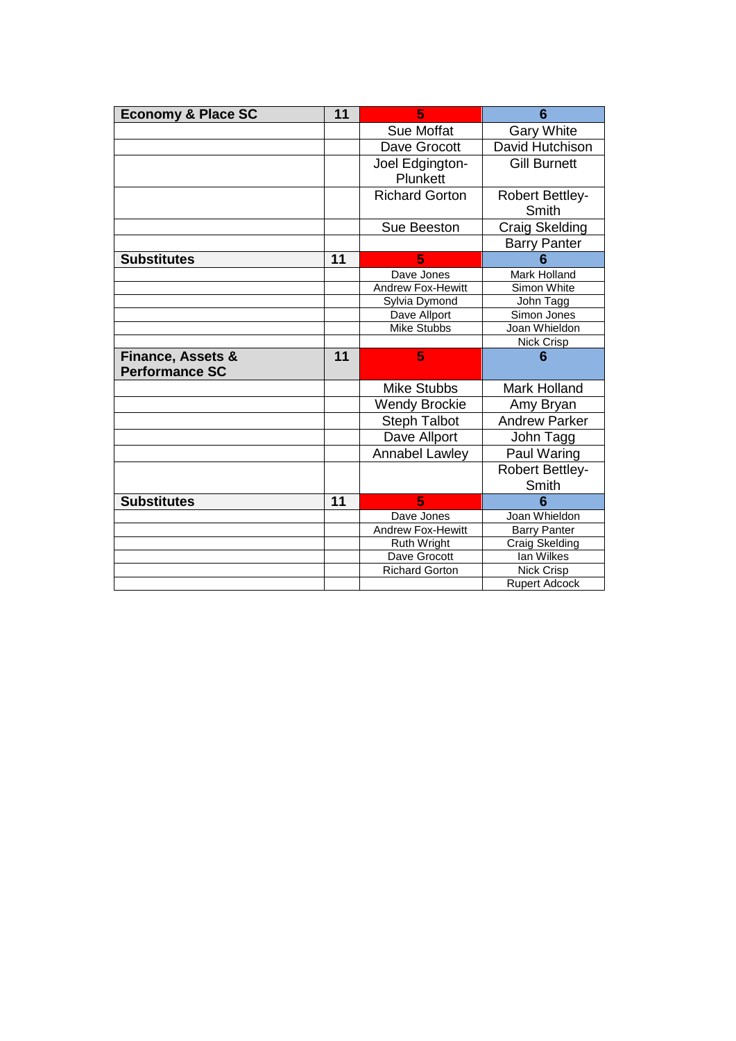| <b>Economy &amp; Place SC</b>                         | 11 | 5                           | 6                               |
|-------------------------------------------------------|----|-----------------------------|---------------------------------|
|                                                       |    | <b>Sue Moffat</b>           | <b>Gary White</b>               |
|                                                       |    | Dave Grocott                | David Hutchison                 |
|                                                       |    | Joel Edgington-<br>Plunkett | <b>Gill Burnett</b>             |
|                                                       |    | <b>Richard Gorton</b>       | <b>Robert Bettley-</b><br>Smith |
|                                                       |    | Sue Beeston                 | Craig Skelding                  |
|                                                       |    |                             | <b>Barry Panter</b>             |
| <b>Substitutes</b>                                    | 11 | 5                           | 6                               |
|                                                       |    | Dave Jones                  | Mark Holland                    |
|                                                       |    | <b>Andrew Fox-Hewitt</b>    | Simon White                     |
|                                                       |    | Sylvia Dymond               | John Tagg                       |
|                                                       |    | Dave Allport                | Simon Jones                     |
|                                                       |    | <b>Mike Stubbs</b>          | Joan Whieldon                   |
|                                                       |    |                             | Nick Crisp                      |
|                                                       |    |                             |                                 |
| <b>Finance, Assets &amp;</b><br><b>Performance SC</b> | 11 | 5                           | 6                               |
|                                                       |    | <b>Mike Stubbs</b>          | <b>Mark Holland</b>             |
|                                                       |    | <b>Wendy Brockie</b>        | Amy Bryan                       |
|                                                       |    | <b>Steph Talbot</b>         | <b>Andrew Parker</b>            |
|                                                       |    | Dave Allport                | John Tagg                       |
|                                                       |    | <b>Annabel Lawley</b>       | Paul Waring                     |
|                                                       |    |                             | <b>Robert Bettley-</b><br>Smith |
| <b>Substitutes</b>                                    | 11 | 5                           | 6                               |
|                                                       |    | Dave Jones                  | Joan Whieldon                   |
|                                                       |    | <b>Andrew Fox-Hewitt</b>    | <b>Barry Panter</b>             |
|                                                       |    | Ruth Wright                 | Craig Skelding                  |
|                                                       |    | Dave Grocott                | <b>lan Wilkes</b>               |
|                                                       |    | <b>Richard Gorton</b>       | Nick Crisp                      |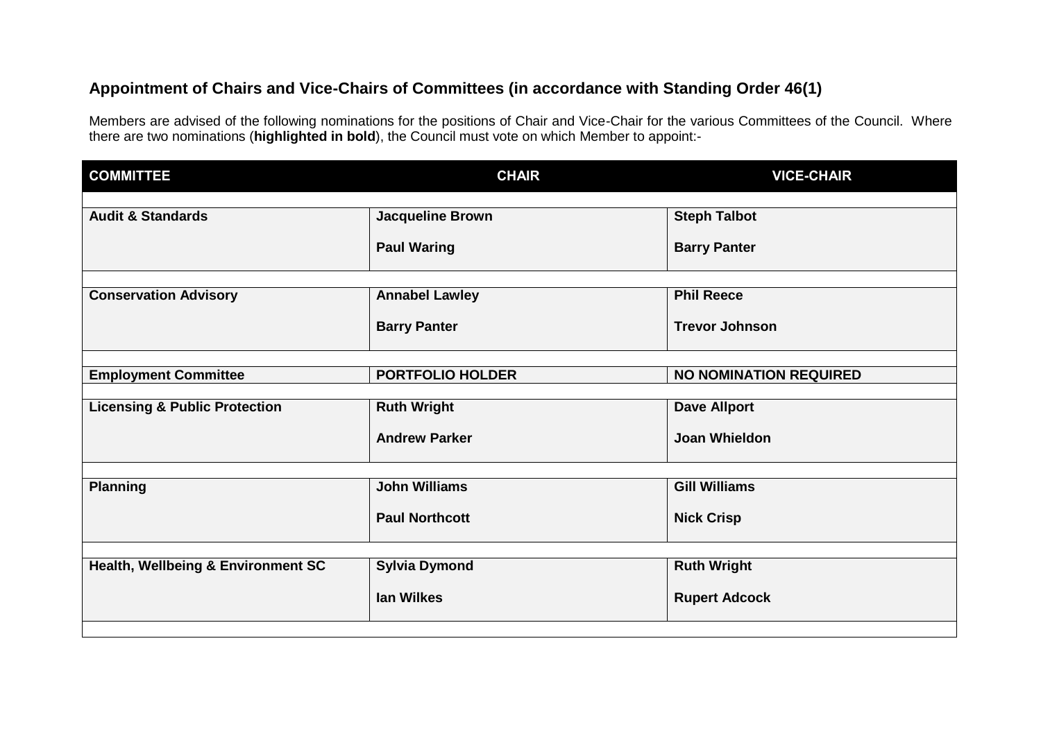## **Appointment of Chairs and Vice-Chairs of Committees (in accordance with Standing Order 46(1)**

Members are advised of the following nominations for the positions of Chair and Vice-Chair for the various Committees of the Council. Where there are two nominations (**highlighted in bold**), the Council must vote on which Member to appoint:-

| <b>COMMITTEE</b>                         | <b>CHAIR</b>            | <b>VICE-CHAIR</b>             |
|------------------------------------------|-------------------------|-------------------------------|
| <b>Audit &amp; Standards</b>             | <b>Jacqueline Brown</b> | <b>Steph Talbot</b>           |
|                                          | <b>Paul Waring</b>      | <b>Barry Panter</b>           |
|                                          |                         |                               |
| <b>Conservation Advisory</b>             | <b>Annabel Lawley</b>   | <b>Phil Reece</b>             |
|                                          | <b>Barry Panter</b>     | <b>Trevor Johnson</b>         |
|                                          |                         |                               |
| <b>Employment Committee</b>              | <b>PORTFOLIO HOLDER</b> | <b>NO NOMINATION REQUIRED</b> |
| <b>Licensing &amp; Public Protection</b> | <b>Ruth Wright</b>      | <b>Dave Allport</b>           |
|                                          | <b>Andrew Parker</b>    | <b>Joan Whieldon</b>          |
|                                          |                         |                               |
| <b>Planning</b>                          | <b>John Williams</b>    | <b>Gill Williams</b>          |
|                                          | <b>Paul Northcott</b>   | <b>Nick Crisp</b>             |
|                                          |                         |                               |
| Health, Wellbeing & Environment SC       | <b>Sylvia Dymond</b>    | <b>Ruth Wright</b>            |
|                                          | lan Wilkes              | <b>Rupert Adcock</b>          |
|                                          |                         |                               |